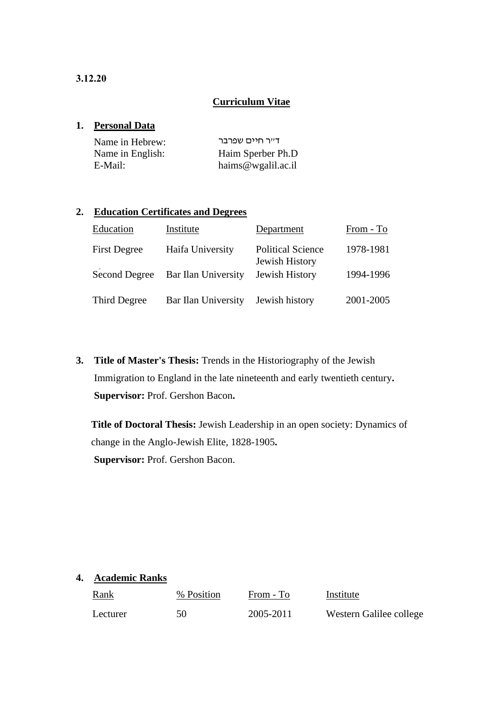# **Curriculum Vitae**

## **1. Personal Data**

| Name in Hebrew:  | דייר חיים שפרבר    |
|------------------|--------------------|
| Name in English: | Haim Sperber Ph.D  |
| E-Mail:          | haims@wgalil.ac.il |

# **2. Education Certificates and Degrees**

| Education           | Institute           | Department                                 | From - To |
|---------------------|---------------------|--------------------------------------------|-----------|
| <b>First Degree</b> | Haifa University    | <b>Political Science</b><br>Jewish History | 1978-1981 |
| Second Degree       | Bar Ilan University | Jewish History                             | 1994-1996 |
| Third Degree        | Bar Ilan University | Jewish history                             | 2001-2005 |

**3. Title of Master's Thesis:** Trends in the Historiography of the Jewish Immigration to England in the late nineteenth and early twentieth century**. Supervisor:** Prof. Gershon Bacon**.**

**Title of Doctoral Thesis:** Jewish Leadership in an open society: Dynamics of change in the Anglo-Jewish Elite, 1828-1905**. Supervisor:** Prof. Gershon Bacon.

### **4. Academic Ranks**

| <u>Rank</u> | % Position | From - To | Institute               |
|-------------|------------|-----------|-------------------------|
| Lecturer    | 50         | 2005-2011 | Western Galilee college |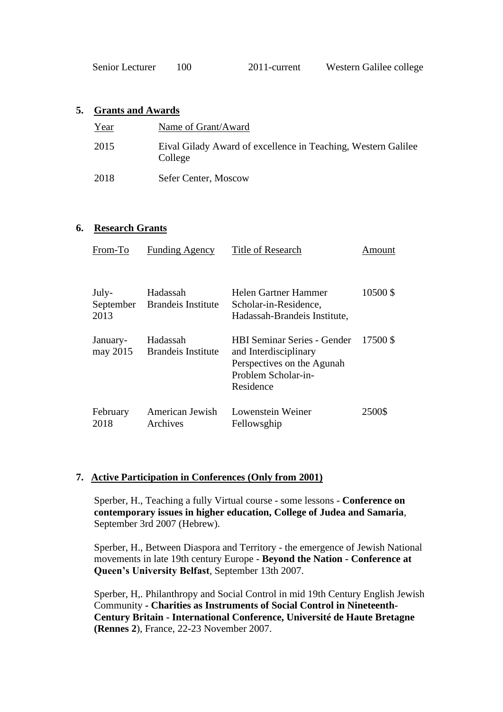| Senior Lecturer | 100 | 2011-current | Western Galilee college |
|-----------------|-----|--------------|-------------------------|
|-----------------|-----|--------------|-------------------------|

## **5. Grants and Awards**

| Year | Name of Grant/Award                                                      |
|------|--------------------------------------------------------------------------|
| 2015 | Eival Gilady Award of excellence in Teaching, Western Galilee<br>College |
| 2018 | Sefer Center, Moscow                                                     |

## **6. Research Grants**

| From-To              | <b>Funding Agency</b>                    | Title of Research                                                                                                             | Amount   |
|----------------------|------------------------------------------|-------------------------------------------------------------------------------------------------------------------------------|----------|
| July-<br>2013        | Hadassah<br>September Brandeis Institute | Helen Gartner Hammer<br>Scholar-in-Residence,<br>Hadassah-Brandeis Institute,                                                 | 10500 \$ |
| January-<br>may 2015 | Hadassah<br><b>Brandels Institute</b>    | <b>HBI Seminar Series - Gender</b><br>and Interdisciplinary<br>Perspectives on the Agunah<br>Problem Scholar-in-<br>Residence | 17500 \$ |
| February<br>2018     | American Jewish<br>Archives              | Lowenstein Weiner<br>Fellowsghip                                                                                              | 2500\$   |

# **7. Active Participation in Conferences (Only from 2001)**

Sperber, H., Teaching a fully Virtual course - some lessons - **Conference on contemporary issues in higher education, College of Judea and Samaria**, September 3rd 2007 (Hebrew).

Sperber, H., Between Diaspora and Territory - the emergence of Jewish National movements in late 19th century Europe - **Beyond the Nation - Conference at Queen's University Belfast**, September 13th 2007.

Sperber, H,. Philanthropy and Social Control in mid 19th Century English Jewish Community **- Charities as Instruments of Social Control in Nineteenth-Century Britain - International Conference, Université de Haute Bretagne (Rennes 2**), France, 22-23 November 2007.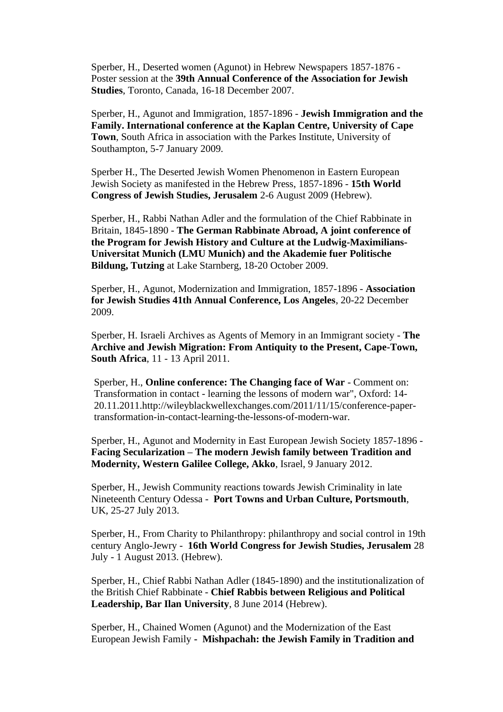Sperber, H., Deserted women (Agunot) in Hebrew Newspapers 1857-1876 - Poster session at the **39th Annual Conference of the Association for Jewish Studies**, Toronto, Canada, 16-18 December 2007.

Sperber, H., Agunot and Immigration, 1857-1896 - **Jewish Immigration and the Family. International conference at the Kaplan Centre, University of Cape Town**, South Africa in association with the Parkes Institute, University of Southampton, 5-7 January 2009.

Sperber H., The Deserted Jewish Women Phenomenon in Eastern European Jewish Society as manifested in the Hebrew Press, 1857-1896 - **15th World Congress of Jewish Studies, Jerusalem** 2-6 August 2009 (Hebrew).

Sperber, H., Rabbi Nathan Adler and the formulation of the Chief Rabbinate in Britain, 1845-1890 - **The German Rabbinate Abroad, A joint conference of the Program for Jewish History and Culture at the Ludwig-Maximilians-Universitat Munich (LMU Munich) and the Akademie fuer Politische Bildung, Tutzing** at Lake Starnberg, 18-20 October 2009.

Sperber, H., Agunot, Modernization and Immigration, 1857-1896 - **Association for Jewish Studies 41th Annual Conference, Los Angeles**, 20-22 December 2009.

Sperber, H. Israeli Archives as Agents of Memory in an Immigrant society - **The Archive and Jewish Migration: From Antiquity to the Present, Cape-Town, South Africa**, 11 - 13 April 2011.

Sperber, H., **Online conference: The Changing face of War** - Comment on: Transformation in contact - learning the lessons of modern war", Oxford: 14- 20.11.2011.http://wileyblackwellexchanges.com/2011/11/15/conference-papertransformation-in-contact-learning-the-lessons-of-modern-war.

Sperber, H., Agunot and Modernity in East European Jewish Society 1857-1896 - **Facing Secularization – The modern Jewish family between Tradition and Modernity, Western Galilee College, Akko**, Israel, 9 January 2012.

Sperber, H., Jewish Community reactions towards Jewish Criminality in late Nineteenth Century Odessa - **Port Towns and Urban Culture, Portsmouth**, UK, 25-27 July 2013.

Sperber, H., From Charity to Philanthropy: philanthropy and social control in 19th century Anglo-Jewry - **16th World Congress for Jewish Studies, Jerusalem** 28 July - 1 August 2013. (Hebrew).

Sperber, H., Chief Rabbi Nathan Adler (1845-1890) and the institutionalization of the British Chief Rabbinate - **Chief Rabbis between Religious and Political Leadership, Bar Ilan University**, 8 June 2014 (Hebrew).

Sperber, H., Chained Women (Agunot) and the Modernization of the East European Jewish Family **- Mishpachah: the Jewish Family in Tradition and**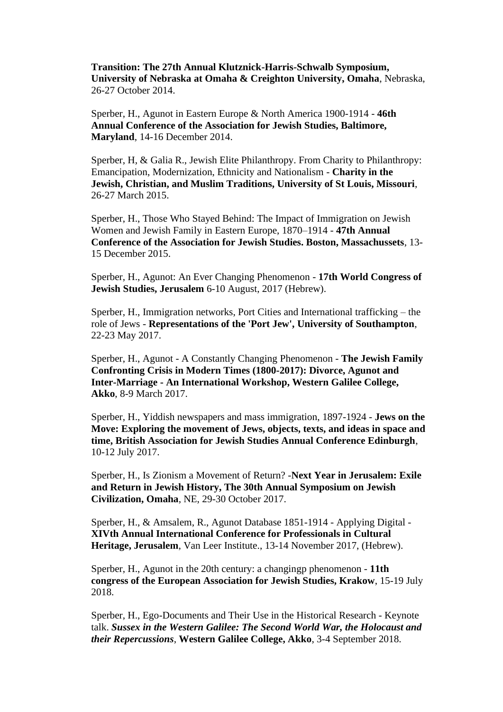**Transition: The 27th Annual Klutznick-Harris-Schwalb Symposium, University of Nebraska at Omaha & Creighton University, Omaha**, Nebraska, 26-27 October 2014.

Sperber, H., Agunot in Eastern Europe & North America 1900-1914 - **46th Annual Conference of the Association for Jewish Studies, Baltimore, Maryland**, 14-16 December 2014.

Sperber, H, & Galia R., Jewish Elite Philanthropy. From Charity to Philanthropy: Emancipation, Modernization, Ethnicity and Nationalism - **Charity in the Jewish, Christian, and Muslim Traditions, University of St Louis, Missouri**, 26-27 March 2015.

Sperber, H., Those Who Stayed Behind: The Impact of Immigration on Jewish Women and Jewish Family in Eastern Europe, 1870–1914 - **47th Annual Conference of the Association for Jewish Studies. Boston, Massachussets**, 13- 15 December 2015.

Sperber, H., Agunot: An Ever Changing Phenomenon - **17th World Congress of Jewish Studies, Jerusalem** 6-10 August, 2017 (Hebrew).

Sperber, H., Immigration networks, Port Cities and International trafficking – the role of Jews - **Representations of the 'Port Jew', University of Southampton**, 22-23 May 2017.

Sperber, H., Agunot - A Constantly Changing Phenomenon - **The Jewish Family Confronting Crisis in Modern Times (1800-2017): Divorce, Agunot and Inter-Marriage - An International Workshop, Western Galilee College, Akko**, 8-9 March 2017.

Sperber, H., Yiddish newspapers and mass immigration, 1897-1924 - **Jews on the Move: Exploring the movement of Jews, objects, texts, and ideas in space and time, British Association for Jewish Studies Annual Conference Edinburgh**, 10-12 July 2017.

Sperber, H., Is Zionism a Movement of Return? -**Next Year in Jerusalem: Exile and Return in Jewish History, The 30th Annual Symposium on Jewish Civilization, Omaha**, NE, 29-30 October 2017.

Sperber, H., & Amsalem, R., Agunot Database 1851-1914 - Applying Digital - **XIVth Annual International Conference for Professionals in Cultural Heritage, Jerusalem**, Van Leer Institute., 13-14 November 2017, (Hebrew).

Sperber, H., Agunot in the 20th century: a changingp phenomenon - **11th congress of the European Association for Jewish Studies, Krakow**, 15-19 July 2018.

Sperber, H., Ego-Documents and Their Use in the Historical Research - Keynote talk. *Sussex in the Western Galilee: The Second World War, the Holocaust and their Repercussions*, **Western Galilee College, Akko**, 3-4 September 2018.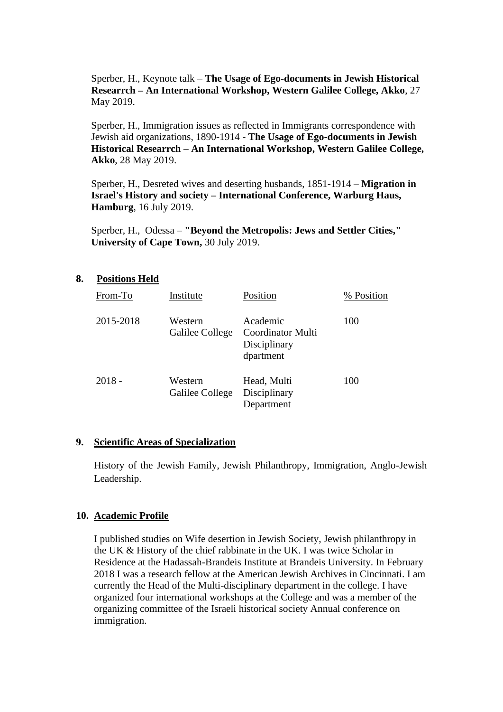Sperber, H., Keynote talk – **The Usage of Ego-documents in Jewish Historical Researrch – An International Workshop, Western Galilee College, Akko**, 27 May 2019.

Sperber, H., Immigration issues as reflected in Immigrants correspondence with Jewish aid organizations, 1890-1914 - **The Usage of Ego-documents in Jewish Historical Researrch – An International Workshop, Western Galilee College, Akko**, 28 May 2019.

Sperber, H., Desreted wives and deserting husbands, 1851-1914 – **Migration in Israel's History and society – International Conference, Warburg Haus, Hamburg**, 16 July 2019.

Sperber, H., Odessa – **"Beyond the Metropolis: Jews and Settler Cities," University of Cape Town,** 30 July 2019.

### **8. Positions Held**

| From-To   | Institute                  | Position                                                   | % Position |
|-----------|----------------------------|------------------------------------------------------------|------------|
| 2015-2018 | Western<br>Galilee College | Academic<br>Coordinator Multi<br>Disciplinary<br>dpartment | 100        |
| $2018 -$  | Western<br>Galilee College | Head, Multi<br>Disciplinary<br>Department                  | 100        |

### **9. Scientific Areas of Specialization**

History of the Jewish Family, Jewish Philanthropy, Immigration, Anglo-Jewish Leadership.

### **10. Academic Profile**

I published studies on Wife desertion in Jewish Society, Jewish philanthropy in the UK & History of the chief rabbinate in the UK. I was twice Scholar in Residence at the Hadassah-Brandeis Institute at Brandeis University. In February 2018 I was a research fellow at the American Jewish Archives in Cincinnati. I am currently the Head of the Multi-disciplinary department in the college. I have organized four international workshops at the College and was a member of the organizing committee of the Israeli historical society Annual conference on immigration.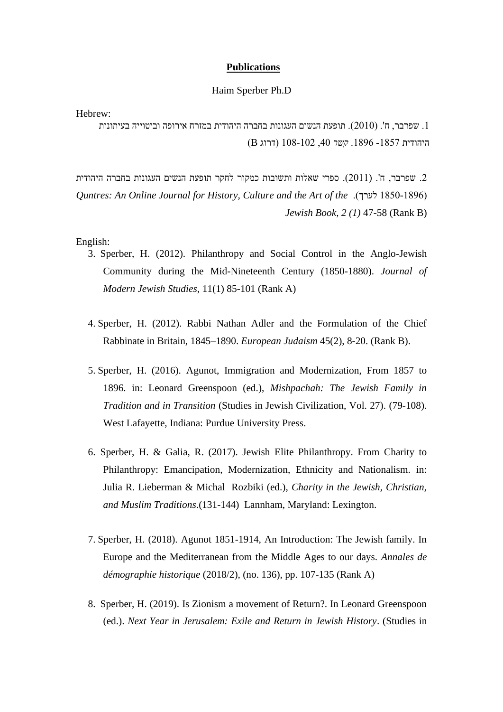### **Publications**

#### Haim Sperber Ph.D

Hebrew:

.1 שפרבר, ח'. )2010(. תופעת הנשים העגונות בחברה היהודית במזרח אירופה וביטוייה בעיתונות היהודית -1857 .1896 *קשר* ,40 108-102 )דרוג B)

. שפרבר, ח'. (2011). ספרי שאלות ותשובות כמקור לחקר תופעת הנשים העגונות בחברה היהודית *Quntres: An Online Journal for History, Culture and the Art of the* .)לערך 1850-1896) *Jewish Book, 2 (1)* 47-58 (Rank B)

English:

- 3. Sperber, H. (2012). Philanthropy and Social Control in the Anglo-Jewish Community during the Mid-Nineteenth Century (1850-1880). *Journal of Modern Jewish Studies*, 11(1) 85-101 (Rank A)
- 4. Sperber, H. (2012). Rabbi Nathan Adler and the Formulation of the Chief Rabbinate in Britain, 1845–1890. *European Judaism* 45(2), 8-20. (Rank B).
- 5. Sperber, H. (2016). Agunot, Immigration and Modernization, From 1857 to 1896. in: Leonard Greenspoon (ed.), *Mishpachah: The Jewish Family in Tradition and in Transition* (Studies in Jewish Civilization, Vol. 27). (79-108). West Lafayette, Indiana: Purdue University Press.
- 6. Sperber, H. & Galia, R. (2017). Jewish Elite Philanthropy. From Charity to Philanthropy: Emancipation, Modernization, Ethnicity and Nationalism. in: Julia R. Lieberman & Michal Rozbiki (ed.), *Charity in the Jewish, Christian, and Muslim Traditions*.(131-144) Lannham, Maryland: Lexington.
- 7. Sperber, H. (2018). Agunot 1851-1914, An Introduction: The Jewish family. In Europe and the Mediterranean from the Middle Ages to our days. *Annales de démographie historique* (2018/2), (no. 136), pp. 107-135 (Rank A)
- 8. Sperber, H. (2019). Is Zionism a movement of Return?. In Leonard Greenspoon (ed.). *Next Year in Jerusalem: Exile and Return in Jewish History*. (Studies in